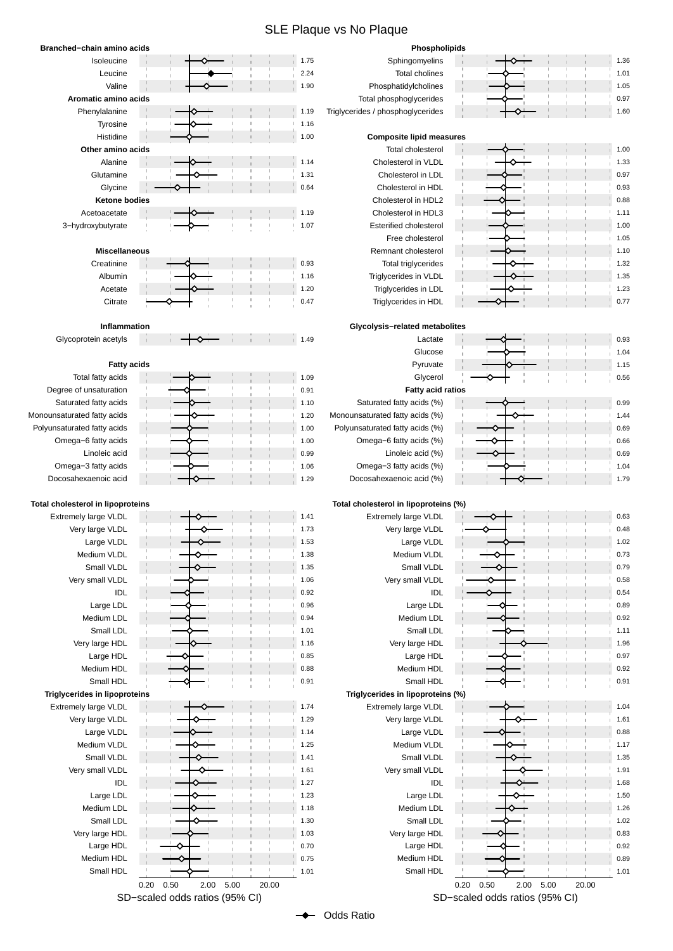## SLE Plaque vs No Plaque

| Branched-chain amino acids               |                                |              | Phospholipids                         |                                |                              |  |  |
|------------------------------------------|--------------------------------|--------------|---------------------------------------|--------------------------------|------------------------------|--|--|
| Isoleucine                               |                                | 1.75         | Sphingomyelins                        |                                | 1.36                         |  |  |
| Leucine                                  |                                | 2.24         | Total cholines                        |                                | 1.01                         |  |  |
| Valine                                   |                                | 1.90         | Phosphatidylcholines                  |                                | 1.05                         |  |  |
| Aromatic amino acids                     |                                |              | Total phosphoglycerides               |                                | 0.97                         |  |  |
| Phenylalanine                            | $\begin{array}{c} \end{array}$ | 1.19         | Triglycerides / phosphoglycerides     |                                | 1.60                         |  |  |
| Tyrosine                                 |                                | 1.16         |                                       |                                |                              |  |  |
| Histidine                                |                                | 1.00         | <b>Composite lipid measures</b>       |                                |                              |  |  |
| Other amino acids                        |                                |              | Total cholesterol                     |                                | 1.00                         |  |  |
| Alanine                                  |                                | 1.14         | Cholesterol in VLDL                   |                                | 1.33                         |  |  |
| Glutamine                                |                                | 1.31         | Cholesterol in LDL                    |                                | 0.97                         |  |  |
| Glycine                                  |                                | 0.64         | Cholesterol in HDL                    |                                | 0.93                         |  |  |
| <b>Ketone bodies</b>                     |                                |              | Cholesterol in HDL2                   |                                | 0.88                         |  |  |
| Acetoacetate                             |                                | 1.19         | Cholesterol in HDL3                   |                                | 1.11                         |  |  |
| 3-hydroxybutyrate                        |                                | 1.07         | <b>Esterified cholesterol</b>         |                                | 1.00                         |  |  |
|                                          |                                |              | Free cholesterol                      |                                | 1.05                         |  |  |
| <b>Miscellaneous</b>                     |                                |              | Remnant cholesterol                   |                                | 1.10                         |  |  |
| Creatinine                               |                                | 0.93         | Total triglycerides                   |                                | 1.32                         |  |  |
| Albumin                                  |                                | 1.16         | Triglycerides in VLDL                 |                                | 1.35                         |  |  |
| Acetate                                  |                                | 1.20         | Triglycerides in LDL                  |                                | 1.23                         |  |  |
| Citrate                                  |                                | 0.47         | Triglycerides in HDL                  |                                | 0.77                         |  |  |
|                                          |                                |              |                                       |                                |                              |  |  |
| Inflammation                             |                                |              | Glycolysis-related metabolites        |                                |                              |  |  |
| Glycoprotein acetyls                     |                                | 1.49         | Lactate                               |                                | 0.93                         |  |  |
|                                          |                                |              | Glucose                               |                                | 1.04                         |  |  |
|                                          |                                |              |                                       |                                |                              |  |  |
| <b>Fatty acids</b>                       |                                |              | Pyruvate                              |                                | 1.15                         |  |  |
| Total fatty acids                        |                                | 1.09         | Glycerol                              |                                | 0.56                         |  |  |
| Degree of unsaturation                   |                                | 0.91         | <b>Fatty acid ratios</b>              |                                |                              |  |  |
| Saturated fatty acids                    |                                | 1.10         | Saturated fatty acids (%)             |                                | 0.99                         |  |  |
| Monounsaturated fatty acids              |                                | 1.20         | Monounsaturated fatty acids (%)       |                                | 1.44                         |  |  |
| Polyunsaturated fatty acids              |                                | 1.00         | Polyunsaturated fatty acids (%)       |                                | 0.69                         |  |  |
| Omega-6 fatty acids                      |                                | 1.00         | Omega-6 fatty acids (%)               |                                | 0.66                         |  |  |
| Linoleic acid                            |                                | 0.99         | Linoleic acid (%)                     |                                | 0.69                         |  |  |
| Omega-3 fatty acids                      |                                | 1.06         | Omega-3 fatty acids (%)               |                                | 1.04                         |  |  |
| Docosahexaenoic acid                     |                                | 1.29         | Docosahexaenoic acid (%)              |                                | 1.79                         |  |  |
|                                          |                                |              |                                       |                                |                              |  |  |
| <b>Total cholesterol in lipoproteins</b> |                                |              | Total cholesterol in lipoproteins (%) |                                |                              |  |  |
| Extremely large VLDL                     |                                | 1.41         | <b>Extremely large VLDL</b>           |                                | 0.63                         |  |  |
| Very large VLDL                          |                                | 1.73         | Very large VLDL                       |                                | 0.48                         |  |  |
| Large VLDL                               |                                | 1.53         | Large VLDL                            |                                | 1.02                         |  |  |
| Medium VLDL                              |                                |              |                                       |                                | 0.73                         |  |  |
|                                          |                                | 1.38         | Medium VLDL                           |                                |                              |  |  |
| Small VLDL                               |                                | 1.35         | Small VLDL                            |                                |                              |  |  |
| Very small VLDL                          |                                | 1.06         | Very small VLDL                       |                                |                              |  |  |
| IDL                                      |                                | 0.92         | <b>IDL</b>                            |                                | 0.79<br>0.58<br>0.54         |  |  |
| Large LDL                                |                                | 0.96         | Large LDL                             |                                |                              |  |  |
| Medium LDL                               |                                | 0.94         | Medium LDL                            |                                |                              |  |  |
| Small LDL                                |                                | 1.01         | Small LDL                             |                                | 1.11                         |  |  |
| Very large HDL                           |                                | 1.16         | Very large HDL                        |                                |                              |  |  |
| Large HDL                                |                                | 0.85         | Large HDL                             |                                | 0.89<br>0.92<br>1.96<br>0.97 |  |  |
| Medium HDL                               |                                | 0.88         | Medium HDL                            |                                | 0.92                         |  |  |
| Small HDL                                |                                | 0.91         | Small HDL                             |                                |                              |  |  |
| <b>Triglycerides in lipoproteins</b>     |                                |              | Triglycerides in lipoproteins (%)     |                                | 0.91                         |  |  |
| Extremely large VLDL                     |                                | 1.74         | Extremely large VLDL                  |                                | 1.04                         |  |  |
| Very large VLDL                          |                                | 1.29         | Very large VLDL                       |                                | 1.61                         |  |  |
| Large VLDL                               |                                | 1.14         | Large VLDL                            |                                | 0.88                         |  |  |
| Medium VLDL                              |                                | 1.25         | Medium VLDL                           |                                | 1.17                         |  |  |
|                                          |                                | 1.41         |                                       |                                |                              |  |  |
| Small VLDL                               |                                | 1.61         | Small VLDL                            |                                | 1.35                         |  |  |
| Very small VLDL<br>IDL                   |                                | 1.27         | Very small VLDL<br><b>IDL</b>         |                                | 1.91<br>1.68                 |  |  |
|                                          |                                |              |                                       |                                |                              |  |  |
| Large LDL                                |                                | 1.23<br>1.18 | Large LDL                             |                                | 1.50                         |  |  |
| Medium LDL                               |                                |              | Medium LDL                            |                                | 1.26                         |  |  |
| Small LDL                                |                                | 1.30         | Small LDL                             |                                |                              |  |  |
| Very large HDL                           |                                | 1.03         | Very large HDL                        |                                |                              |  |  |
| Large HDL                                |                                | 0.70         | Large HDL                             |                                | 1.02<br>0.83<br>0.92         |  |  |
| Medium HDL                               |                                | 0.75         | Medium HDL                            |                                | 0.89                         |  |  |
| Small HDL                                |                                | 1.01         | Small HDL                             |                                | 1.01                         |  |  |
|                                          | 0.50<br>5.00<br>0.20<br>2.00   | 20.00        |                                       | 5.00<br>0.20<br>0.50<br>2.00   | 20.00                        |  |  |
|                                          | SD-scaled odds ratios (95% CI) |              |                                       | SD-scaled odds ratios (95% CI) |                              |  |  |

Odds Ratio٠